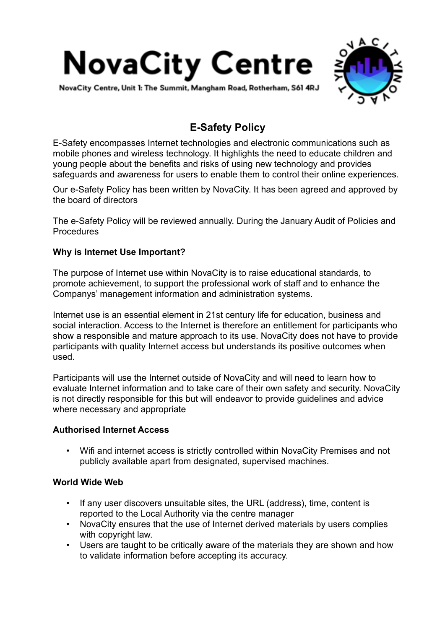

NovaCity Centre, Unit 1: The Summit, Mangham Road, Rotherham, S61 4RJ



# **E-Safety Policy**

E-Safety encompasses Internet technologies and electronic communications such as mobile phones and wireless technology. It highlights the need to educate children and young people about the benefits and risks of using new technology and provides safeguards and awareness for users to enable them to control their online experiences.

Our e-Safety Policy has been written by NovaCity. It has been agreed and approved by the board of directors

The e-Safety Policy will be reviewed annually. During the January Audit of Policies and Procedures

# **Why is Internet Use Important?**

The purpose of Internet use within NovaCity is to raise educational standards, to promote achievement, to support the professional work of staff and to enhance the Companys' management information and administration systems.

Internet use is an essential element in 21st century life for education, business and social interaction. Access to the Internet is therefore an entitlement for participants who show a responsible and mature approach to its use. NovaCity does not have to provide participants with quality Internet access but understands its positive outcomes when used.

Participants will use the Internet outside of NovaCity and will need to learn how to evaluate Internet information and to take care of their own safety and security. NovaCity is not directly responsible for this but will endeavor to provide guidelines and advice where necessary and appropriate

# **Authorised Internet Access**

• Wifi and internet access is strictly controlled within NovaCity Premises and not publicly available apart from designated, supervised machines.

# **World Wide Web**

- If any user discovers unsuitable sites, the URL (address), time, content is reported to the Local Authority via the centre manager
- NovaCity ensures that the use of Internet derived materials by users complies with copyright law.
- Users are taught to be critically aware of the materials they are shown and how to validate information before accepting its accuracy.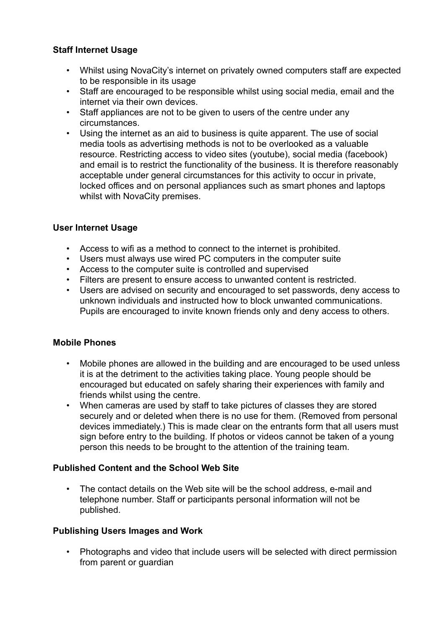# **Staff Internet Usage**

- Whilst using NovaCity's internet on privately owned computers staff are expected to be responsible in its usage
- Staff are encouraged to be responsible whilst using social media, email and the internet via their own devices.
- Staff appliances are not to be given to users of the centre under any circumstances.
- Using the internet as an aid to business is quite apparent. The use of social media tools as advertising methods is not to be overlooked as a valuable resource. Restricting access to video sites (youtube), social media (facebook) and email is to restrict the functionality of the business. It is therefore reasonably acceptable under general circumstances for this activity to occur in private, locked offices and on personal appliances such as smart phones and laptops whilst with NovaCity premises.

# **User Internet Usage**

- Access to wifi as a method to connect to the internet is prohibited.
- Users must always use wired PC computers in the computer suite
- Access to the computer suite is controlled and supervised
- Filters are present to ensure access to unwanted content is restricted.
- Users are advised on security and encouraged to set passwords, deny access to unknown individuals and instructed how to block unwanted communications. Pupils are encouraged to invite known friends only and deny access to others.

# **Mobile Phones**

- Mobile phones are allowed in the building and are encouraged to be used unless it is at the detriment to the activities taking place. Young people should be encouraged but educated on safely sharing their experiences with family and friends whilst using the centre.
- When cameras are used by staff to take pictures of classes they are stored securely and or deleted when there is no use for them. (Removed from personal devices immediately.) This is made clear on the entrants form that all users must sign before entry to the building. If photos or videos cannot be taken of a young person this needs to be brought to the attention of the training team.

# **Published Content and the School Web Site**

• The contact details on the Web site will be the school address, e-mail and telephone number. Staff or participants personal information will not be published.

# **Publishing Users Images and Work**

• Photographs and video that include users will be selected with direct permission from parent or quardian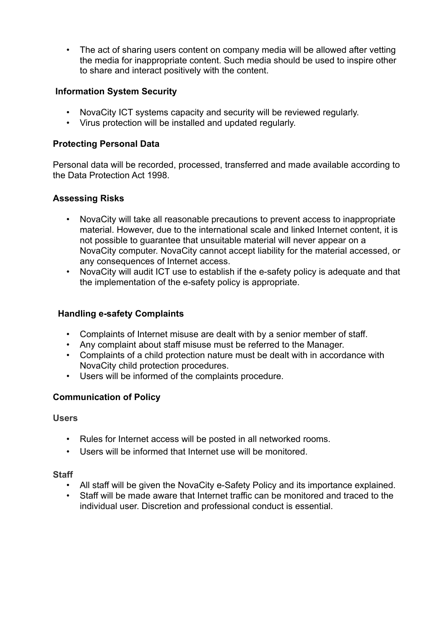• The act of sharing users content on company media will be allowed after vetting the media for inappropriate content. Such media should be used to inspire other to share and interact positively with the content.

# **Information System Security**

- NovaCity ICT systems capacity and security will be reviewed regularly.
- Virus protection will be installed and updated regularly.

# **Protecting Personal Data**

Personal data will be recorded, processed, transferred and made available according to the Data Protection Act 1998.

# **Assessing Risks**

- NovaCity will take all reasonable precautions to prevent access to inappropriate material. However, due to the international scale and linked Internet content, it is not possible to guarantee that unsuitable material will never appear on a NovaCity computer. NovaCity cannot accept liability for the material accessed, or any consequences of Internet access.
- NovaCity will audit ICT use to establish if the e-safety policy is adequate and that the implementation of the e-safety policy is appropriate.

# **Handling e-safety Complaints**

- Complaints of Internet misuse are dealt with by a senior member of staff.
- Any complaint about staff misuse must be referred to the Manager.
- Complaints of a child protection nature must be dealt with in accordance with NovaCity child protection procedures.
- Users will be informed of the complaints procedure.

# **Communication of Policy**

# **Users**

- Rules for Internet access will be posted in all networked rooms.
- Users will be informed that Internet use will be monitored.

#### **Staff**

- All staff will be given the NovaCity e-Safety Policy and its importance explained.
- Staff will be made aware that Internet traffic can be monitored and traced to the individual user. Discretion and professional conduct is essential.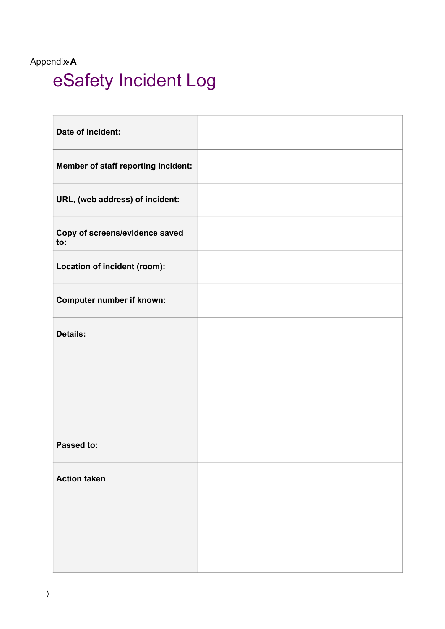# Appendix• **A** eSafety Incident Log

| Date of incident:                     |  |
|---------------------------------------|--|
| Member of staff reporting incident:   |  |
| URL, (web address) of incident:       |  |
| Copy of screens/evidence saved<br>to: |  |
| Location of incident (room):          |  |
| <b>Computer number if known:</b>      |  |
| <b>Details:</b>                       |  |
|                                       |  |
|                                       |  |
| Passed to:                            |  |
| <b>Action taken</b>                   |  |
|                                       |  |
|                                       |  |
|                                       |  |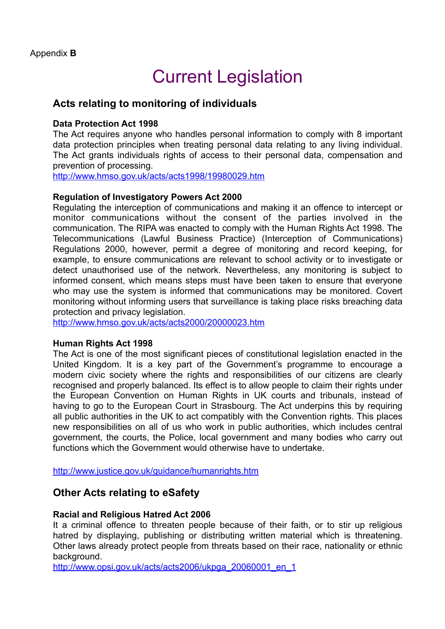# Current Legislation

# **Acts relating to monitoring of individuals**

# **Data Protection Act 1998**

The Act requires anyone who handles personal information to comply with 8 important data protection principles when treating personal data relating to any living individual. The Act grants individuals rights of access to their personal data, compensation and prevention of processing.

<http://www.hmso.gov.uk/acts/acts1998/19980029.htm>

# **Regulation of Investigatory Powers Act 2000**

Regulating the interception of communications and making it an offence to intercept or monitor communications without the consent of the parties involved in the communication. The RIPA was enacted to comply with the Human Rights Act 1998. The Telecommunications (Lawful Business Practice) (Interception of Communications) Regulations 2000, however, permit a degree of monitoring and record keeping, for example, to ensure communications are relevant to school activity or to investigate or detect unauthorised use of the network. Nevertheless, any monitoring is subject to informed consent, which means steps must have been taken to ensure that everyone who may use the system is informed that communications may be monitored. Covert monitoring without informing users that surveillance is taking place risks breaching data protection and privacy legislation.

<http://www.hmso.gov.uk/acts/acts2000/20000023.htm>

# **Human Rights Act 1998**

The Act is one of the most significant pieces of constitutional legislation enacted in the United Kingdom. It is a key part of the Government's programme to encourage a modern civic society where the rights and responsibilities of our citizens are clearly recognised and properly balanced. Its effect is to allow people to claim their rights under the European Convention on Human Rights in UK courts and tribunals, instead of having to go to the European Court in Strasbourg. The Act underpins this by requiring all public authorities in the UK to act compatibly with the Convention rights. This places new responsibilities on all of us who work in public authorities, which includes central government, the courts, the Police, local government and many bodies who carry out functions which the Government would otherwise have to undertake.

<http://www.justice.gov.uk/guidance/humanrights.htm>

# **Other Acts relating to eSafety**

# **Racial and Religious Hatred Act 2006**

It a criminal offence to threaten people because of their faith, or to stir up religious hatred by displaying, publishing or distributing written material which is threatening. Other laws already protect people from threats based on their race, nationality or ethnic background.

[http://www.opsi.gov.uk/acts/acts2006/ukpga\\_20060001\\_en\\_1](http://www.opsi.gov.uk/acts/acts2006/ukpga_20060001_en_1)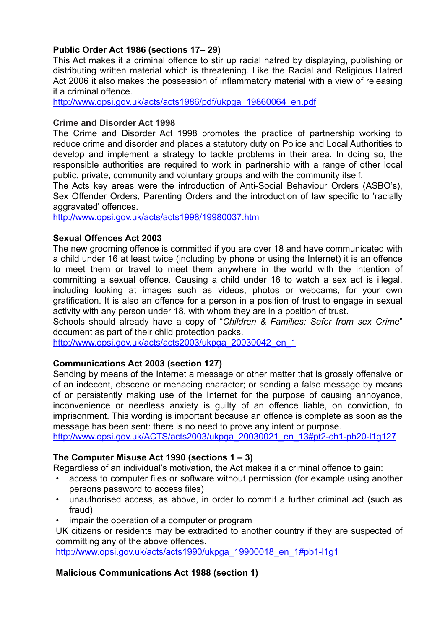# **Public Order Act 1986 (sections 17– 29)**

This Act makes it a criminal offence to stir up racial hatred by displaying, publishing or distributing written material which is threatening. Like the Racial and Religious Hatred Act 2006 it also makes the possession of inflammatory material with a view of releasing it a criminal offence.

[http://www.opsi.gov.uk/acts/acts1986/pdf/ukpga\\_19860064\\_en.pdf](http://www.opsi.gov.uk/acts/acts1986/pdf/ukpga_19860064_en.pdf)

#### **Crime and Disorder Act 1998**

The Crime and Disorder Act 1998 promotes the practice of partnership working to reduce crime and disorder and places a statutory duty on Police and Local Authorities to develop and implement a strategy to tackle problems in their area. In doing so, the responsible authorities are required to work in partnership with a range of other local public, private, community and voluntary groups and with the community itself.

The Acts key areas were the introduction of [Anti-Social Behaviour Orders](http://en.wikipedia.org/wiki/anti-social_behaviour_order) (ASBO's), Sex Offender Orders, Parenting Orders and the introduction of law specific to 'racially aggravated' offences.

<http://www.opsi.gov.uk/acts/acts1998/19980037.htm>

# **Sexual Offences Act 2003**

The new grooming offence is committed if you are over 18 and have communicated with a child under 16 at least twice (including by phone or using the Internet) it is an offence to meet them or travel to meet them anywhere in the world with the intention of committing a sexual offence. Causing a child under 16 to watch a sex act is illegal, including looking at images such as videos, photos or webcams, for your own gratification. It is also an offence for a person in a position of trust to engage in sexual activity with any person under 18, with whom they are in a position of trust.

Schools should already have a copy of "*Children & Families: Safer from sex Crime*" document as part of their child protection packs.

[http://www.opsi.gov.uk/acts/acts2003/ukpga\\_20030042\\_en\\_1](http://www.opsi.gov.uk/acts/acts2003/ukpga_20030042_en_1)

# **Communications Act 2003 (section 127)**

Sending by means of the Internet a message or other matter that is grossly offensive or of an indecent, obscene or menacing character; or sending a false message by means of or persistently making use of the Internet for the purpose of causing annoyance, inconvenience or needless anxiety is guilty of an offence liable, on conviction, to imprisonment. This wording is important because an offence is complete as soon as the message has been sent: there is no need to prove any intent or purpose.

[http://www.opsi.gov.uk/ACTS/acts2003/ukpga\\_20030021\\_en\\_13#pt2-ch1-pb20-l1g127](http://www.opsi.gov.uk/acts/acts2003/ukpga_20030021_en_13%252523pt2-ch1-pb20-l1g127)

# **The Computer Misuse Act 1990 (sections 1 – 3)**

Regardless of an individual's motivation, the Act makes it a criminal offence to gain:

- access to computer files or software without permission (for example using another persons password to access files)
- unauthorised access, as above, in order to commit a further criminal act (such as fraud)
- impair the operation of a computer or program

UK citizens or residents may be extradited to another country if they are suspected of committing any of the above offences.

[http://www.opsi.gov.uk/acts/acts1990/ukpga\\_19900018\\_en\\_1#pb1-l1g1](http://www.opsi.gov.uk/acts/acts1990/ukpga_19900018_en_1%252523pb1-l1g1)

# **Malicious Communications Act 1988 (section 1)**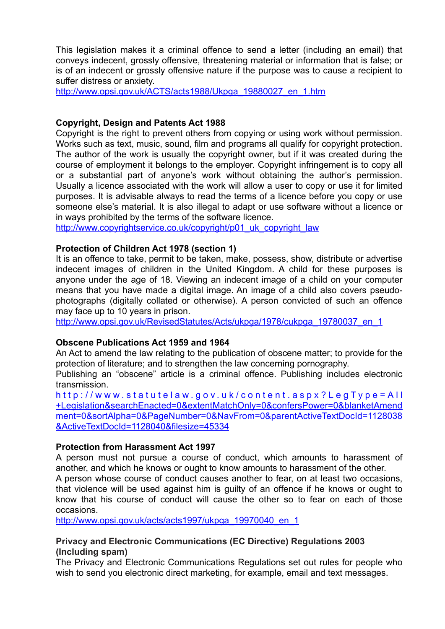This legislation makes it a criminal offence to send a letter (including an email) that conveys indecent, grossly offensive, threatening material or information that is false; or is of an indecent or grossly offensive nature if the purpose was to cause a recipient to suffer distress or anxiety.

[http://www.opsi.gov.uk/ACTS/acts1988/Ukpga\\_19880027\\_en\\_1.htm](http://www.opsi.gov.uk/acts/acts1988/ukpga_19880027_en_1.htm)

# **Copyright, Design and Patents Act 1988**

Copyright is the right to prevent others from copying or using work without permission. Works such as text, music, sound, film and programs all qualify for copyright protection. The author of the work is usually the copyright owner, but if it was created during the course of employment it belongs to the employer. Copyright infringement is to copy all or a substantial part of anyone's work without obtaining the author's permission. Usually a licence associated with the work will allow a user to copy or use it for limited purposes. It is advisable always to read the terms of a licence before you copy or use someone else's material. It is also illegal to adapt or use software without a licence or in ways prohibited by the terms of the software licence.

[http://www.copyrightservice.co.uk/copyright/p01\\_uk\\_copyright\\_law](http://www.copyrightservice.co.uk/copyright/p01_uk_copyright_law)

# **Protection of Children Act 1978 (section 1)**

It is an offence to take, permit to be taken, make, possess, show, distribute or advertise indecent images of children in the United Kingdom. A child for these purposes is anyone under the age of 18. Viewing an indecent image of a child on your computer means that you have made a digital image. An image of a child also covers pseudophotographs (digitally collated or otherwise). A person convicted of such an offence may face up to 10 years in prison.

[http://www.opsi.gov.uk/RevisedStatutes/Acts/ukpga/1978/cukpga\\_19780037\\_en\\_1](http://www.opsi.gov.uk/revisedstatutes/acts/ukpga/1978/cukpga_19780037_en_1)

# **Obscene Publications Act 1959 and 1964**

An Act to amend the law relating to the publication of obscene matter; to provide for the protection of literature; and to strengthen the law concerning pornography.

Publishing an "obscene" article is a criminal offence. Publishing includes electronic transmission.

[http://www.statutelaw.gov.uk/content.aspx?LegType=All](http://www.statutelaw.gov.uk/content.aspx?legtype=all+legislation&searchenacted=0&extentmatchonly=0&conferspower=0&blanketamendment=0&sortalpha=0&pagenumber=0&navfrom=0&parentactivetextdocid=1128038&activetextdocid=1128040&filesize=45334) +Legislation&searchEnacted=0&extentMatchOnly=0&confersPower=0&blanketAmend ment=0&sortAlpha=0&PageNumber=0&NavFrom=0&parentActiveTextDocId=1128038 &ActiveTextDocId=1128040&filesize=45334

# **Protection from Harassment Act 1997**

A person must not pursue a course of conduct, which amounts to harassment of another, and which he knows or ought to know amounts to harassment of the other.

A person whose course of conduct causes another to fear, on at least two occasions, that violence will be used against him is guilty of an offence if he knows or ought to know that his course of conduct will cause the other so to fear on each of those occasions.

[http://www.opsi.gov.uk/acts/acts1997/ukpga\\_19970040\\_en\\_1](http://www.opsi.gov.uk/acts/acts1997/ukpga_19970040_en_1)

# **Privacy and Electronic Communications (EC Directive) Regulations 2003 (Including spam)**

The Privacy and Electronic Communications Regulations set out rules for people who wish to send you electronic direct marketing, for example, email and text messages.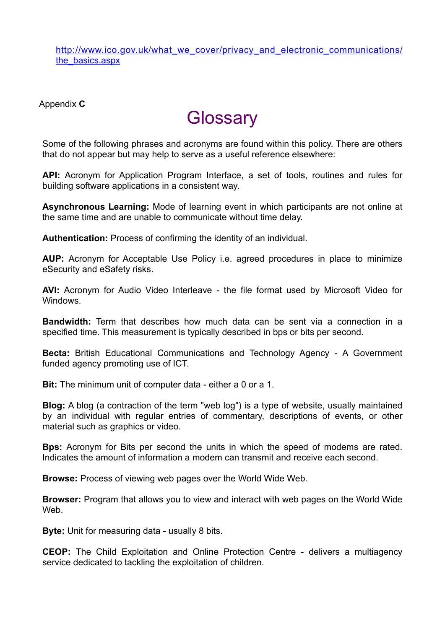[http://www.ico.gov.uk/what\\_we\\_cover/privacy\\_and\\_electronic\\_communications/](http://www.ico.gov.uk/what_we_cover/privacy_and_electronic_communications/the_basics.aspx) the\_basics.aspx

Appendix **C**

# **Glossary**

Some of the following phrases and acronyms are found within this policy. There are others that do not appear but may help to serve as a useful reference elsewhere:

**API:** Acronym for Application Program Interface, a set of tools, routines and rules for building software applications in a consistent way.

**Asynchronous Learning:** Mode of learning event in which participants are not online at the same time and are unable to communicate without time delay.

**Authentication:** Process of confirming the identity of an individual.

**AUP:** Acronym for Acceptable Use Policy i.e. agreed procedures in place to minimize eSecurity and eSafety risks.

**AVI:** Acronym for Audio Video Interleave - the file format used by Microsoft Video for Windows.

**Bandwidth:** Term that describes how much data can be sent via a connection in a specified time. This measurement is typically described in bps or bits per second.

**Becta:** British Educational Communications and Technology Agency - A Government funded agency promoting use of ICT.

**Bit:** The minimum unit of computer data - either a 0 or a 1.

**Blog:** A blog (a contraction of the term "web log") is a type of website, usually maintained by an individual with regular entries of commentary, descriptions of events, or other material such as graphics or video.

**Bps:** Acronym for Bits per second the units in which the speed of modems are rated. Indicates the amount of information a modem can transmit and receive each second.

**Browse:** Process of viewing web pages over the World Wide Web.

**Browser:** Program that allows you to view and interact with web pages on the World Wide We<sub>b</sub>

**Byte:** Unit for measuring data - usually 8 bits.

**CEOP:** The Child Exploitation and Online Protection Centre - delivers a multiagency service dedicated to tackling the exploitation of children.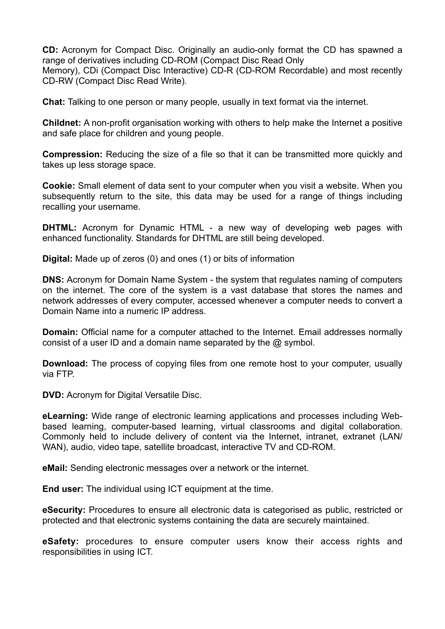**CD:** Acronym for Compact Disc. Originally an audio-only format the CD has spawned a range of derivatives including CD-ROM (Compact Disc Read Only

Memory), CDi (Compact Disc Interactive) CD-R (CD-ROM Recordable) and most recently CD-RW (Compact Disc Read Write).

**Chat:** Talking to one person or many people, usually in text format via the internet.

**Childnet:** A non-profit organisation working with others to help make the Internet a positive and safe place for children and young people.

**Compression:** Reducing the size of a file so that it can be transmitted more quickly and takes up less storage space.

**Cookie:** Small element of data sent to your computer when you visit a website. When you subsequently return to the site, this data may be used for a range of things including recalling your username.

**DHTML:** Acronym for Dynamic HTML - a new way of developing web pages with enhanced functionality. Standards for DHTML are still being developed.

**Digital:** Made up of zeros (0) and ones (1) or bits of information

**DNS:** Acronym for Domain Name System - the system that regulates naming of computers on the internet. The core of the system is a vast database that stores the names and network addresses of every computer, accessed whenever a computer needs to convert a Domain Name into a numeric IP address.

**Domain:** Official name for a computer attached to the Internet. Email addresses normally consist of a user ID and a domain name separated by the @ symbol.

**Download:** The process of copying files from one remote host to your computer, usually via FTP.

**DVD:** Acronym for Digital Versatile Disc.

**eLearning:** Wide range of electronic learning applications and processes including Webbased learning, computer-based learning, virtual classrooms and digital collaboration. Commonly held to include delivery of content via the Internet, intranet, extranet (LAN/ WAN), audio, video tape, satellite broadcast, interactive TV and CD-ROM.

**eMail:** Sending electronic messages over a network or the internet.

**End user:** The individual using ICT equipment at the time.

**eSecurity:** Procedures to ensure all electronic data is categorised as public, restricted or protected and that electronic systems containing the data are securely maintained.

**eSafety:** procedures to ensure computer users know their access rights and responsibilities in using ICT.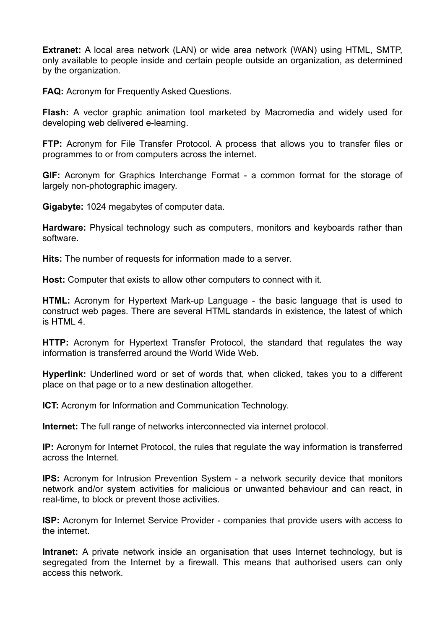**Extranet:** A local area network (LAN) or wide area network (WAN) using HTML, SMTP, only available to people inside and certain people outside an organization, as determined by the organization.

**FAQ:** Acronym for Frequently Asked Questions.

**Flash:** A vector graphic animation tool marketed by Macromedia and widely used for developing web delivered e-learning.

**FTP:** Acronym for File Transfer Protocol. A process that allows you to transfer files or programmes to or from computers across the internet.

**GIF:** Acronym for Graphics Interchange Format - a common format for the storage of largely non-photographic imagery.

**Gigabyte:** 1024 megabytes of computer data.

**Hardware:** Physical technology such as computers, monitors and keyboards rather than software.

**Hits:** The number of requests for information made to a server.

**Host:** Computer that exists to allow other computers to connect with it.

**HTML:** Acronym for Hypertext Mark-up Language - the basic language that is used to construct web pages. There are several HTML standards in existence, the latest of which is HTML 4.

**HTTP:** Acronym for Hypertext Transfer Protocol, the standard that regulates the way information is transferred around the World Wide Web.

**Hyperlink:** Underlined word or set of words that, when clicked, takes you to a different place on that page or to a new destination altogether.

**ICT:** Acronym for Information and Communication Technology.

**Internet:** The full range of networks interconnected via internet protocol.

**IP:** Acronym for Internet Protocol, the rules that regulate the way information is transferred across the Internet.

**IPS:** Acronym for Intrusion Prevention System - a network security device that monitors network and/or system activities for malicious or unwanted behaviour and can react, in real-time, to block or prevent those activities.

**ISP:** Acronym for Internet Service Provider - companies that provide users with access to the internet.

**Intranet:** A private network inside an organisation that uses Internet technology, but is segregated from the Internet by a firewall. This means that authorised users can only access this network.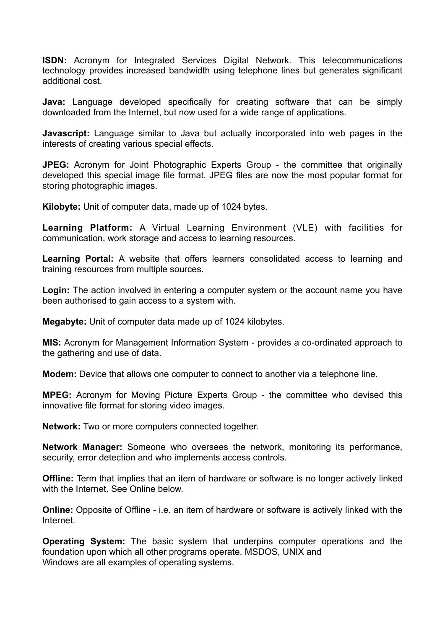**ISDN:** Acronym for Integrated Services Digital Network. This telecommunications technology provides increased bandwidth using telephone lines but generates significant additional cost.

**Java:** Language developed specifically for creating software that can be simply downloaded from the Internet, but now used for a wide range of applications.

**Javascript:** Language similar to Java but actually incorporated into web pages in the interests of creating various special effects.

**JPEG:** Acronym for Joint Photographic Experts Group - the committee that originally developed this special image file format. JPEG files are now the most popular format for storing photographic images.

**Kilobyte:** Unit of computer data, made up of 1024 bytes.

**Learning Platform:** A Virtual Learning Environment (VLE) with facilities for communication, work storage and access to learning resources.

**Learning Portal:** A website that offers learners consolidated access to learning and training resources from multiple sources.

**Login:** The action involved in entering a computer system or the account name you have been authorised to gain access to a system with.

**Megabyte:** Unit of computer data made up of 1024 kilobytes.

**MIS:** Acronym for Management Information System - provides a co-ordinated approach to the gathering and use of data.

**Modem:** Device that allows one computer to connect to another via a telephone line.

**MPEG:** Acronym for Moving Picture Experts Group - the committee who devised this innovative file format for storing video images.

**Network:** Two or more computers connected together.

**Network Manager:** Someone who oversees the network, monitoring its performance, security, error detection and who implements access controls.

**Offline:** Term that implies that an item of hardware or software is no longer actively linked with the Internet. See Online below.

**Online:** Opposite of Offline - i.e. an item of hardware or software is actively linked with the Internet.

**Operating System:** The basic system that underpins computer operations and the foundation upon which all other programs operate. MSDOS, UNIX and Windows are all examples of operating systems.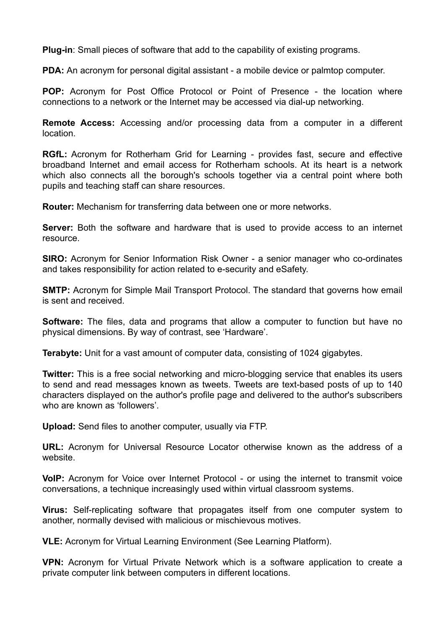**Plug-in**: Small pieces of software that add to the capability of existing programs.

**PDA:** An acronym for personal digital assistant - a mobile device or palmtop computer.

**POP:** Acronym for Post Office Protocol or Point of Presence - the location where connections to a network or the Internet may be accessed via dial-up networking.

**Remote Access:** Accessing and/or processing data from a computer in a different location.

**RGfL:** Acronym for Rotherham Grid for Learning - provides fast, secure and effective broadband Internet and email access for Rotherham schools. At its heart is a network which also connects all the borough's schools together via a central point where both pupils and teaching staff can share resources.

**Router:** Mechanism for transferring data between one or more networks.

**Server:** Both the software and hardware that is used to provide access to an internet resource.

**SIRO:** Acronym for Senior Information Risk Owner - a senior manager who co-ordinates and takes responsibility for action related to e-security and eSafety.

**SMTP:** Acronym for Simple Mail Transport Protocol. The standard that governs how email is sent and received.

**Software:** The files, data and programs that allow a computer to function but have no physical dimensions. By way of contrast, see 'Hardware'.

**Terabyte:** Unit for a vast amount of computer data, consisting of 1024 gigabytes.

**Twitter:** This is a free social networking and micro-blogging service that enables its users to send and read messages known as tweets. Tweets are text-based posts of up to 140 characters displayed on the author's profile page and delivered to the author's subscribers who are known as 'followers'.

**Upload:** Send files to another computer, usually via FTP.

**URL:** Acronym for Universal Resource Locator otherwise known as the address of a website.

**VoIP:** Acronym for Voice over Internet Protocol - or using the internet to transmit voice conversations, a technique increasingly used within virtual classroom systems.

**Virus:** Self-replicating software that propagates itself from one computer system to another, normally devised with malicious or mischievous motives.

**VLE:** Acronym for Virtual Learning Environment (See Learning Platform).

**VPN:** Acronym for Virtual Private Network which is a software application to create a private computer link between computers in different locations.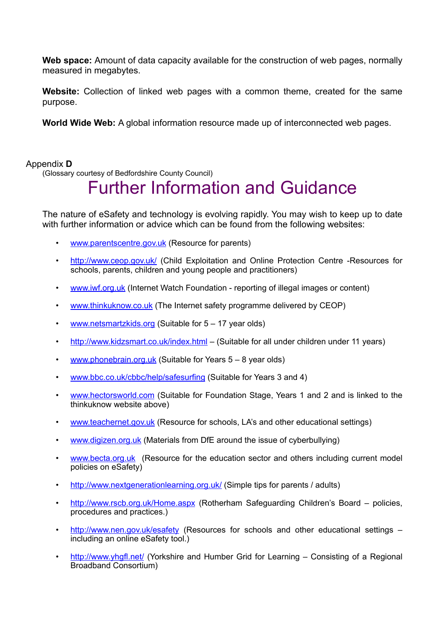**Web space:** Amount of data capacity available for the construction of web pages, normally measured in megabytes.

**Website:** Collection of linked web pages with a common theme, created for the same purpose.

**World Wide Web:** A global information resource made up of interconnected web pages.

# Appendix **D**

(Glossary courtesy of Bedfordshire County Council)

# Further Information and Guidance

The nature of eSafety and technology is evolving rapidly. You may wish to keep up to date with further information or advice which can be found from the following websites:

- [www.parentscentre.gov.uk](http://www.parentscentre.gov.uk/) (Resource for parents)
- <http://www.ceop.gov.uk/>(Child Exploitation and Online Protection Centre -Resources for schools, parents, children and young people and practitioners)
- [www.iwf.org.uk](http://www.iwf.org.uk) (Internet Watch Foundation reporting of illegal images or content)
- [www.thinkuknow.co.uk](http://www.thinkuknow.co.uk/)</u> (The Internet safety programme delivered by CEOP)
- [www.netsmartzkids.org](http://www.netsmartzkids.org/) (Suitable for 5 17 year olds)
- <http://www.kidzsmart.co.uk/index.html> (Suitable for all under children under 11 years)
- [www.phonebrain.org.uk](http://www.phonebrain.org.uk/) (Suitable for Years 5 8 year olds)
- [www.bbc.co.uk/cbbc/help/safesurfing](http://www.bbc.co.uk/cbbc/help/safesurfing) (Suitable for Years 3 and 4)
- [www.hectorsworld.com](http://www.hectorsworld.com/) (Suitable for Foundation Stage, Years 1 and 2 and is linked to the thinkuknow website above)
- [www.teachernet.gov.uk](http://www.teachernet.gov.uk) (Resource for schools, LA's and other educational settings)
- [www.digizen.org.uk](http://www.digizen.org.uk) (Materials from DfE around the issue of cyberbullying)
- [www.becta.org.uk](http://www.becta.org.uk) (Resource for the education sector and others including current model policies on eSafety)
- <http://www.nextgenerationlearning.org.uk/>(Simple tips for parents / adults)
- [http://www.rscb.org.uk/Home.aspx](http://www.rscb.org.uk/home.aspx) (Rotherham Safeguarding Children's Board policies, procedures and practices.)
- <http://www.nen.gov.uk/esafety>(Resources for schools and other educational settings including an online eSafety tool.)
- <http://www.yhgfl.net/>(Yorkshire and Humber Grid for Learning Consisting of a Regional Broadband Consortium)